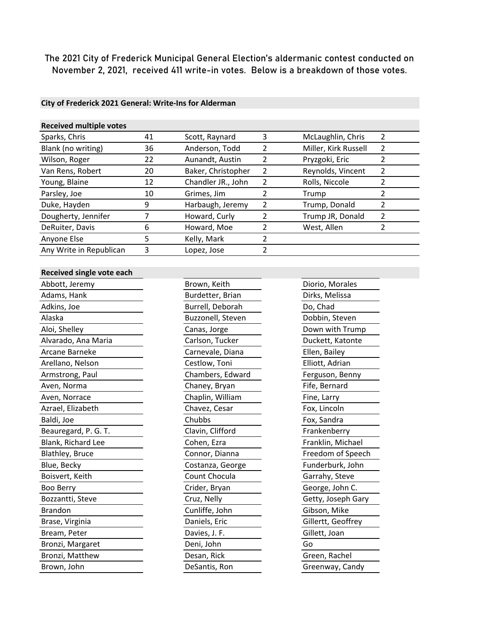The 2021 City of Frederick Municipal General Election's aldermanic contest conducted on November 2, 2021, received 411 write-in votes. Below is a breakdown of those votes.

## **City of Frederick 2021 General: Write-Ins for Alderman**

| <b>Received multiple votes</b> |    |                    |   |                      |                |
|--------------------------------|----|--------------------|---|----------------------|----------------|
| Sparks, Chris                  | 41 | Scott, Raynard     | 3 | McLaughlin, Chris    | 2              |
| Blank (no writing)             | 36 | Anderson, Todd     | 2 | Miller, Kirk Russell | $\overline{2}$ |
| Wilson, Roger                  | 22 | Aunandt, Austin    | 2 | Pryzgoki, Eric       |                |
| Van Rens, Robert               | 20 | Baker, Christopher | 2 | Reynolds, Vincent    | $\mathfrak{p}$ |
| Young, Blaine                  | 12 | Chandler JR., John | 2 | Rolls, Niccole       |                |
| Parsley, Joe                   | 10 | Grimes, Jim        |   | Trump                | 2              |
| Duke, Hayden                   | 9  | Harbaugh, Jeremy   | 2 | Trump, Donald        | 2              |
| Dougherty, Jennifer            |    | Howard, Curly      |   | Trump JR, Donald     | $\mathfrak z$  |
| DeRuiter, Davis                | 6  | Howard, Moe        |   | West, Allen          | 2              |
| Anyone Else                    | 5  | Kelly, Mark        |   |                      |                |
| Any Write in Republican        | 3  | Lopez, Jose        | 2 |                      |                |
|                                |    |                    |   |                      |                |

## **Received single vote each**

| Abbott, Jeremy       |
|----------------------|
| Adams, Hank          |
| Adkins, Joe          |
| Alaska               |
| Aloi, Shelley        |
| Alvarado, Ana Maria  |
| Arcane Barneke       |
| Arellano, Nelson     |
| Armstrong, Paul      |
| Aven, Norma          |
| Aven, Norrace        |
| Azrael, Elizabeth    |
| Baldi, Joe           |
| Beauregard, P. G. T. |
| Blank, Richard Lee   |
| Blathley, Bruce      |
| Blue, Becky          |
| Boisvert, Keith      |
| Boo Berry            |
| Bozzantti, Steve     |
| <b>Brandon</b>       |
| Brase, Virginia      |
| Bream, Peter         |
| Bronzi, Margaret     |
| Bronzi, Matthew      |
| Brown, John          |

Brown, Keith Diorio, Morales Burdetter, Brian Dirks, Melissa Burrell, Deborah Do, Chad Buzzonell, Steven Dobbin, Steven Canas, Jorge **Down with Trump** Carlson, Tucker Duckett, Katonte Carnevale, Diana Ellen, Bailey Cestlow, Toni Elliott, Adrian Chambers, Edward Ferguson, Benny Chaney, Bryan Fife, Bernard Chaplin, William Fine, Larry Chavez, Cesar Fox, Lincoln Chubbs Fox, Sandra Clavin, Clifford Frankenberry Cohen, Ezra Franklin, Michael Connor, Dianna Freedom of Speech Costanza, George Funderburk, John Count Chocula Garrahy, Steve Crider, Bryan George, John C. Cruz, Nelly Getty, Joseph Gary Cunliffe, John Gibson, Mike Daniels, Eric Gillertt, Geoffrey Davies, J. F. Gillett, Joan Bronzi, John Go Desan, Rick Green, Rachel DeSantis, Ron Greenway, Candy